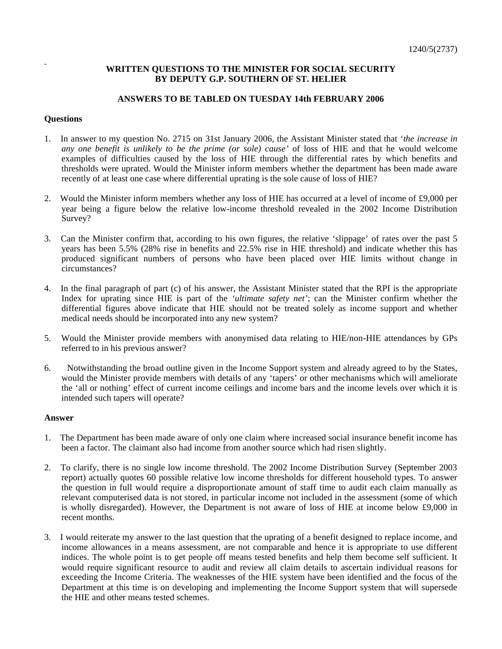## **WRITTEN QUESTIONS TO THE MINISTER FOR SOCIAL SECURITY BY DEPUTY G.P. SOUTHERN OF ST. HELIER**

## **ANSWERS TO BE TABLED ON TUESDAY 14th FEBRUARY 2006**

## **Questions**

- 1. In answer to my question No. 2715 on 31st January 2006, the Assistant Minister stated that '*the increase in any one benefit is unlikely to be the prime (or sole) cause'* of loss of HIE and that he would welcome examples of difficulties caused by the loss of HIE through the differential rates by which benefits and thresholds were uprated. Would the Minister inform members whether the department has been made aware recently of at least one case where differential uprating is the sole cause of loss of HIE?
- 2. Would the Minister inform members whether any loss of HIE has occurred at a level of income of £9,000 per year being a figure below the relative low-income threshold revealed in the 2002 Income Distribution Survey?
- 3. Can the Minister confirm that, according to his own figures, the relative 'slippage' of rates over the past 5 years has been 5.5% (28% rise in benefits and 22.5% rise in HIE threshold) and indicate whether this has produced significant numbers of persons who have been placed over HIE limits without change in circumstances?
- 4. In the final paragraph of part (c) of his answer, the Assistant Minister stated that the RPI is the appropriate Index for uprating since HIE is part of the *'ultimate safety net'*; can the Minister confirm whether the differential figures above indicate that HIE should not be treated solely as income support and whether medical needs should be incorporated into any new system?
- 5. Would the Minister provide members with anonymised data relating to HIE/non-HIE attendances by GPs referred to in his previous answer?
- 6. Notwithstanding the broad outline given in the Income Support system and already agreed to by the States, would the Minister provide members with details of any 'tapers' or other mechanisms which will ameliorate the 'all or nothing' effect of current income ceilings and income bars and the income levels over which it is intended such tapers will operate?

## **Answer**

- 1. The Department has been made aware of only one claim where increased social insurance benefit income has been a factor. The claimant also had income from another source which had risen slightly.
- 2. To clarify, there is no single low income threshold. The 2002 Income Distribution Survey (September 2003 report) actually quotes 60 possible relative low income thresholds for different household types. To answer the question in full would require a disproportionate amount of staff time to audit each claim manually as relevant computerised data is not stored, in particular income not included in the assessment (some of which is wholly disregarded). However, the Department is not aware of loss of HIE at income below £9,000 in recent months.
- 3. I would reiterate my answer to the last question that the uprating of a benefit designed to replace income, and income allowances in a means assessment, are not comparable and hence it is appropriate to use different indices. The whole point is to get people off means tested benefits and help them become self sufficient. It would require significant resource to audit and review all claim details to ascertain individual reasons for exceeding the Income Criteria. The weaknesses of the HIE system have been identified and the focus of the Department at this time is on developing and implementing the Income Support system that will supersede the HIE and other means tested schemes.